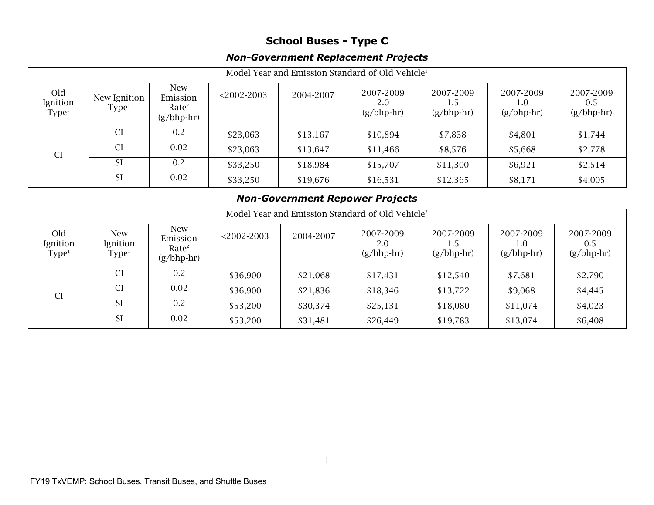## **School Buses - Type C**

## *Non-Government Replacement Projects*

| Model Year and Emission Standard of Old Vehicle <sup>3</sup> |                                   |                                                             |               |           |                                  |                                  |                                  |                                  |  |
|--------------------------------------------------------------|-----------------------------------|-------------------------------------------------------------|---------------|-----------|----------------------------------|----------------------------------|----------------------------------|----------------------------------|--|
| Old<br>Ignition<br>Type <sup>1</sup>                         | New Ignition<br>Type <sup>1</sup> | <b>New</b><br>Emission<br>Rate <sup>2</sup><br>$(g/bhp-hr)$ | $<$ 2002-2003 | 2004-2007 | 2007-2009<br>2.0<br>$(g/bhp-hr)$ | 2007-2009<br>1.5<br>$(g/bhp-hr)$ | 2007-2009<br>1.0<br>$(g/bhp-hr)$ | 2007-2009<br>0.5<br>$(g/bhp-hr)$ |  |
| <b>CI</b>                                                    | CI.                               | 0.2                                                         | \$23,063      | \$13,167  | \$10,894                         | \$7,838                          | \$4,801                          | \$1,744                          |  |
|                                                              | <b>CI</b>                         | 0.02                                                        | \$23,063      | \$13,647  | \$11,466                         | \$8,576                          | \$5,668                          | \$2,778                          |  |
|                                                              | <b>SI</b>                         | 0.2                                                         | \$33,250      | \$18,984  | \$15,707                         | \$11,300                         | \$6,921                          | \$2,514                          |  |
|                                                              | <b>SI</b>                         | 0.02                                                        | \$33,250      | \$19,676  | \$16,531                         | \$12,365                         | \$8,171                          | \$4,005                          |  |

## *Non-Government Repower Projects*

| Model Year and Emission Standard of Old Vehicle <sup>3</sup> |                                             |                                                             |               |           |                                  |                           |                                  |                                  |  |
|--------------------------------------------------------------|---------------------------------------------|-------------------------------------------------------------|---------------|-----------|----------------------------------|---------------------------|----------------------------------|----------------------------------|--|
| Old<br>Ignition<br>Type <sup>1</sup>                         | <b>New</b><br>Ignition<br>Type <sup>1</sup> | <b>New</b><br>Emission<br>Rate <sup>2</sup><br>$(g/bhp-hr)$ | $<$ 2002-2003 | 2004-2007 | 2007-2009<br>2.0<br>$(g/bhp-hr)$ | 2007-2009<br>$(g/bhp-hr)$ | 2007-2009<br>1.0<br>$(g/bhp-hr)$ | 2007-2009<br>0.5<br>$(g/bhp-hr)$ |  |
| <b>CI</b>                                                    |                                             | 0.2                                                         | \$36,900      | \$21,068  | \$17,431                         | \$12,540                  | \$7,681                          | \$2,790                          |  |
|                                                              | CI                                          | 0.02                                                        | \$36,900      | \$21,836  | \$18,346                         | \$13,722                  | \$9,068                          | \$4,445                          |  |
|                                                              | <b>SI</b>                                   | 0.2                                                         | \$53,200      | \$30,374  | \$25,131                         | \$18,080                  | \$11,074                         | \$4,023                          |  |
|                                                              | <b>SI</b>                                   | 0.02                                                        | \$53,200      | \$31,481  | \$26,449                         | \$19,783                  | \$13,074                         | \$6,408                          |  |